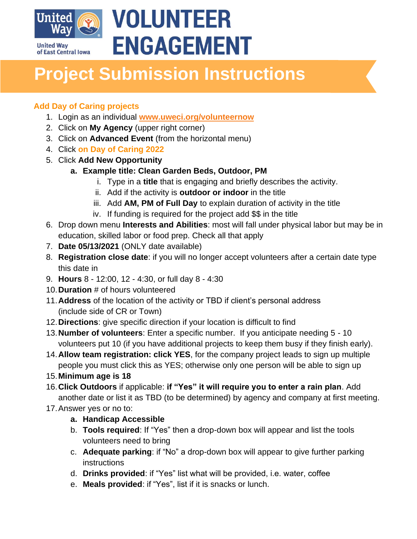

# **VOLUNTEER ENGAGEMENT**

## **Project Submission Instructions**

### **Add Day of Caring projects**

- 1. Login as an individual **[www.uweci.org/volunteernow](http://www.uweci.org/volunteernow)**
- 2. Click on **My Agency** (upper right corner)
- 3. Click on **Advanced Event** (from the horizontal menu)
- 4. Click **on Day of Caring 2022**
- 5. Click **Add New Opportunity**
	- **a. Example title: Clean Garden Beds, Outdoor, PM**
		- i. Type in a **title** that is engaging and briefly describes the activity.
		- ii. Add if the activity is **outdoor or indoor** in the title
		- iii. Add **AM, PM of Full Day** to explain duration of activity in the title
		- iv. If funding is required for the project add \$\$ in the title
- 6. Drop down menu **Interests and Abilities**: most will fall under physical labor but may be in education, skilled labor or food prep. Check all that apply
- 7. **Date 05/13/2021** (ONLY date available)
- 8. **Registration close date**: if you will no longer accept volunteers after a certain date type this date in
- 9. **Hours** 8 12:00, 12 4:30, or full day 8 4:30
- 10.**Duration** # of hours volunteered
- 11.**Address** of the location of the activity or TBD if client's personal address (include side of CR or Town)
- 12.**Directions**: give specific direction if your location is difficult to find
- 13.**Number of volunteers**: Enter a specific number. If you anticipate needing 5 10 volunteers put 10 (if you have additional projects to keep them busy if they finish early).
- 14.**Allow team registration: click YES**, for the company project leads to sign up multiple people you must click this as YES; otherwise only one person will be able to sign up
- 15.**Minimum age is 18**
- 16.**Click Outdoors** if applicable: **if "Yes" it will require you to enter a rain plan**. Add another date or list it as TBD (to be determined) by agency and company at first meeting.
- 17.Answer yes or no to:
	- **a. Handicap Accessible**
	- b. **Tools required**: If "Yes" then a drop-down box will appear and list the tools volunteers need to bring
	- c. **Adequate parking**: if "No" a drop-down box will appear to give further parking instructions
	- d. **Drinks provided**: if "Yes" list what will be provided, i.e. water, coffee
	- e. **Meals provided**: if "Yes", list if it is snacks or lunch.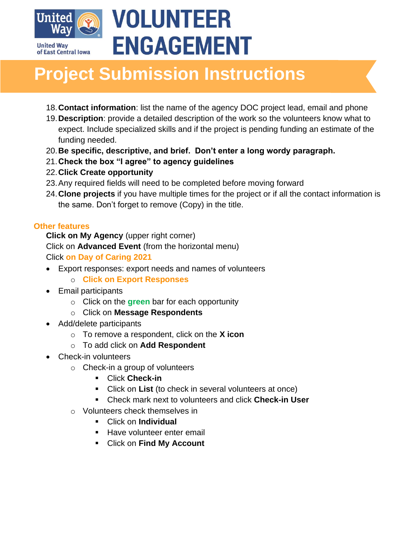

# **VOLUNTEER ENGAGEMENT**

### **Project Submission Instructions**

- 18.**Contact information**: list the name of the agency DOC project lead, email and phone
- 19.**Description**: provide a detailed description of the work so the volunteers know what to expect. Include specialized skills and if the project is pending funding an estimate of the funding needed.
- 20.**Be specific, descriptive, and brief. Don't enter a long wordy paragraph.**
- 21.**Check the box "I agree" to agency guidelines**
- 22.**Click Create opportunity**
- 23.Any required fields will need to be completed before moving forward
- 24.**Clone projects** if you have multiple times for the project or if all the contact information is the same. Don't forget to remove (Copy) in the title.

### **Other features**

**Click on My Agency** (upper right corner)

Click on **Advanced Event** (from the horizontal menu)

Click **on Day of Caring 2021**

- Export responses: export needs and names of volunteers
	- o **Click on Export Responses**
- Email participants
	- o Click on the **green** bar for each opportunity
	- o Click on **Message Respondents**
- Add/delete participants
	- o To remove a respondent, click on the **X icon**
	- o To add click on **Add Respondent**
- Check-in volunteers
	- o Check-in a group of volunteers
		- Click **Check-in**
		- Click on **List** (to check in several volunteers at once)
		- Check mark next to volunteers and click **Check-in User**
	- o Volunteers check themselves in
		- Click on **Individual**
		- Have volunteer enter email
		- Click on **Find My Account**